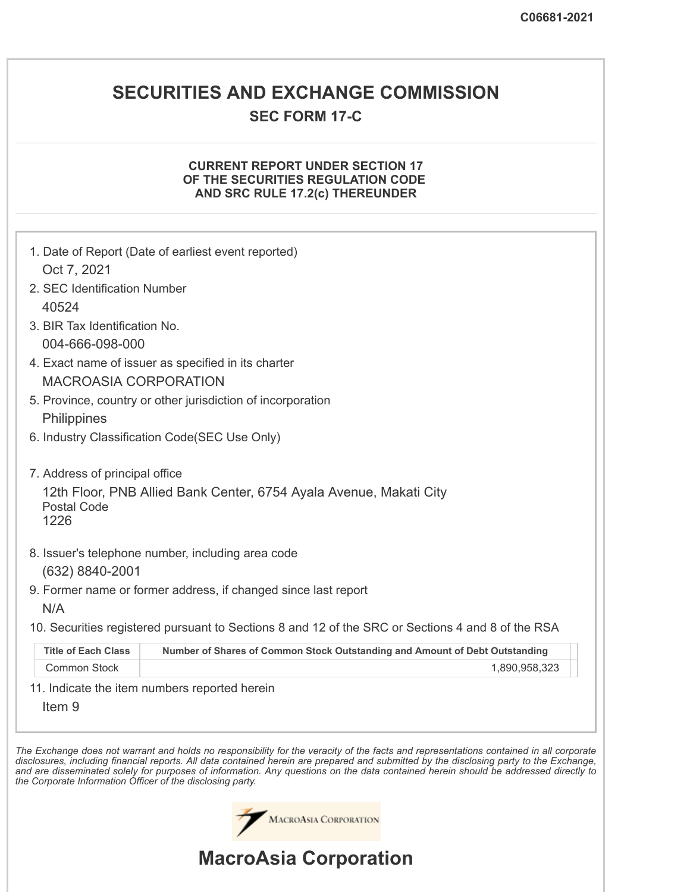## **SECURITIES AND EXCHANGE COMMISSION**

### **SEC FORM 17-C**

### **CURRENT REPORT UNDER SECTION 17 OF THE SECURITIES REGULATION CODE AND SRC RULE 17.2(c) THEREUNDER**

|                                | 1. Date of Report (Date of earliest event reported)                                               |
|--------------------------------|---------------------------------------------------------------------------------------------------|
| Oct 7, 2021                    |                                                                                                   |
| 2. SEC Identification Number   |                                                                                                   |
| 40524                          |                                                                                                   |
| 3. BIR Tax Identification No.  |                                                                                                   |
| 004-666-098-000                |                                                                                                   |
|                                | 4. Exact name of issuer as specified in its charter                                               |
| <b>MACROASIA CORPORATION</b>   |                                                                                                   |
| Philippines                    | 5. Province, country or other jurisdiction of incorporation                                       |
|                                | 6. Industry Classification Code(SEC Use Only)                                                     |
| 7. Address of principal office |                                                                                                   |
| <b>Postal Code</b><br>1226     | 12th Floor, PNB Allied Bank Center, 6754 Ayala Avenue, Makati City                                |
| (632) 8840-2001                | 8. Issuer's telephone number, including area code                                                 |
| N/A                            | 9. Former name or former address, if changed since last report                                    |
|                                | 10. Securities registered pursuant to Sections 8 and 12 of the SRC or Sections 4 and 8 of the RSA |
| <b>Title of Each Class</b>     | Number of Shares of Common Stock Outstanding and Amount of Debt Outstanding                       |
| <b>Common Stock</b>            | 1,890,958,323                                                                                     |
| Item <sub>9</sub>              | 11. Indicate the item numbers reported herein                                                     |

disclosures, including financial reports. All data contained herein are prepared and submitted by the disclosing party to the Exchange, and are disseminated solely for purposes of information. Any questions on the data contained herein should be addressed directly to *the Corporate Information Officer of the disclosing party.*

MACROASIA CORPORATION

# **MacroAsia Corporation**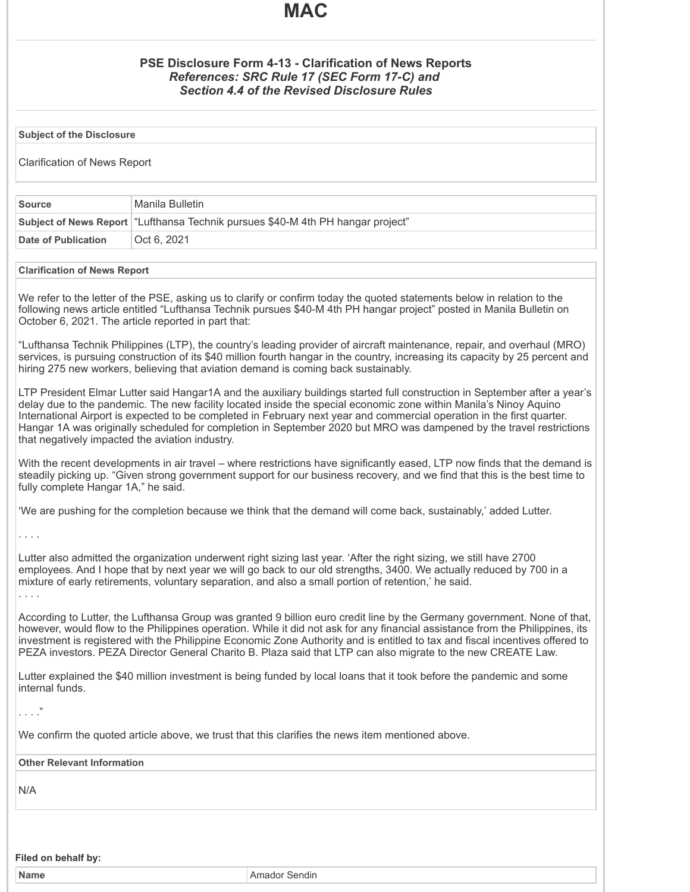## **MAC**

### **PSE Disclosure Form 4-13 - Clarification of News Reports** *References: SRC Rule 17 (SEC Form 17-C) and Section 4.4 of the Revised Disclosure Rules*

**Subject of the Disclosure**

Clarification of News Report

| Source              | Manila Bulletin                                                                   |
|---------------------|-----------------------------------------------------------------------------------|
|                     | Subject of News Report   "Lufthansa Technik pursues \$40-M 4th PH hangar project" |
| Date of Publication | Oct 6, 2021                                                                       |

#### **Clarification of News Report**

We refer to the letter of the PSE, asking us to clarify or confirm today the quoted statements below in relation to the following news article entitled "Lufthansa Technik pursues \$40-M 4th PH hangar project" posted in Manila Bulletin on October 6, 2021. The article reported in part that:

"Lufthansa Technik Philippines (LTP), the country's leading provider of aircraft maintenance, repair, and overhaul (MRO) services, is pursuing construction of its \$40 million fourth hangar in the country, increasing its capacity by 25 percent and hiring 275 new workers, believing that aviation demand is coming back sustainably.

LTP President Elmar Lutter said Hangar1A and the auxiliary buildings started full construction in September after a year's delay due to the pandemic. The new facility located inside the special economic zone within Manila's Ninoy Aquino International Airport is expected to be completed in February next year and commercial operation in the first quarter. Hangar 1A was originally scheduled for completion in September 2020 but MRO was dampened by the travel restrictions that negatively impacted the aviation industry.

With the recent developments in air travel – where restrictions have significantly eased, LTP now finds that the demand is steadily picking up. "Given strong government support for our business recovery, and we find that this is the best time to fully complete Hangar 1A," he said.

'We are pushing for the completion because we think that the demand will come back, sustainably,' added Lutter.

. . . .

Lutter also admitted the organization underwent right sizing last year. 'After the right sizing, we still have 2700 employees. And I hope that by next year we will go back to our old strengths, 3400. We actually reduced by 700 in a mixture of early retirements, voluntary separation, and also a small portion of retention,' he said. . . . .

According to Lutter, the Lufthansa Group was granted 9 billion euro credit line by the Germany government. None of that, however, would flow to the Philippines operation. While it did not ask for any financial assistance from the Philippines, its investment is registered with the Philippine Economic Zone Authority and is entitled to tax and fiscal incentives offered to PEZA investors. PEZA Director General Charito B. Plaza said that LTP can also migrate to the new CREATE Law.

Lutter explained the \$40 million investment is being funded by local loans that it took before the pandemic and some internal funds.

. . . ."

We confirm the quoted article above, we trust that this clarifies the news item mentioned above.

**Other Relevant Information**

N/A

**Filed on behalf by:**

**Name** Amador Sendin